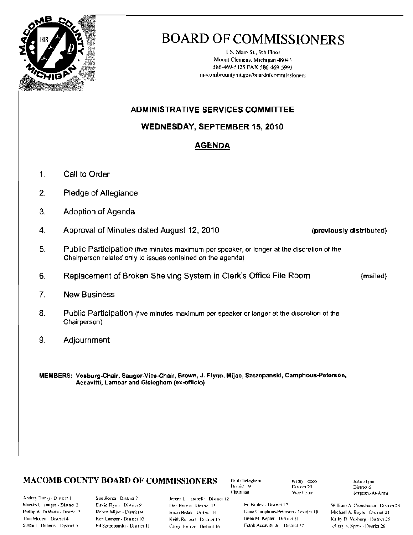

# **BOARD OF COMMISSIONERS**

1.S. Main St., 9th Floor Mount Clemens, Michigan 48043 586-469-5125 FAX 586-469-5993 macombcountymi.gov/boardofcommissioners

## **ADMINISTRATIVE SERVICES COMMITTEE**

## **WEDNESDAY, SEPTEMBER 15, 2010**

## **AGENDA**

- $1<sub>1</sub>$ Call to Order
- $2.$ Pledge of Allegiance
- 3. Adoption of Agenda
- $4.$ Approval of Minutes dated August 12, 2010
- 5. Public Participation (five minutes maximum per speaker, or longer at the discretion of the Chairperson related only to issues contained on the agenda)
- Replacement of Broken Shelving System in Clerk's Office File Room 6.
- $7<sub>1</sub>$ **New Business**
- 8. Public Participation (five minutes maximum per speaker or longer at the discretion of the Chairperson)
- 9. Adjournment

MEMBERS: Vosburg-Chair, Sauger-Vice-Chair, Brown, J. Flynn, Mijac, Szczepanski, Camphous-Peterson, Accavitti, Lampar and Gieleghem (ex-officio)

#### **MACOMB COUNTY BOARD OF COMMISSIONERS**

Andrey Duzyj - District 1 Marvin E. Sauger - District 2 Phillip A. DiMaria - District 3 **Loni Mocen - District 4** Susan L. Doherty District 5

Sue Rocca District 7 David Flynn - District 8 Robert Mijac - District 9 Ken Lampar - Disinci 10 Fd Szczepanski - District 11 James L. Carabelli District 12 Don Brown District 13 Briau Brdak District [4] Keith Rengert - District 15 Carey Torrice - District 16

Paul Gieleghem. District 19 Chairman

Kathy Tocco District 20 Vice Chair

Ed Bruley - District 17 Dana Camphous-Peterson - District 18 Irene M. Kepler - District 21 Frank Accavitti Jr - District 22

Joan Flynn District 6 Sergeant-At-Arms

William A. Crouchman - District 23 Michael A. Boyle - District 24 Kathy D. Vosburg - District 25 Jeffery S. Sprys - District 26

(mailed)

(previously distributed)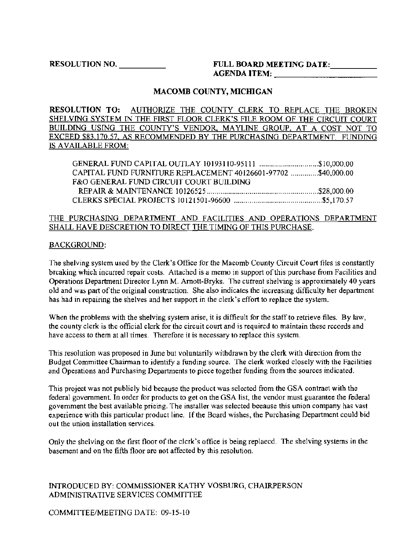RESOLUTION NO. \_ FULL BOARD MEETING DATE:. \_ AGENDA ITEM: \_

#### MACOMB COUNTY, MICHIGAN

RESOLUTION TO: AUTHORIZE THE COUNTY CLERK TO REPLACE THE BROKEN SHELVING SYSTEM IN THE FIRST FLOOR CLERK'S FILE ROOM OF THE CIRCUIT COURT BUILDING USING THE COUNTY'S VENDOR, MAYLINE GROUP, AT A COST NOT TO EXCEED \$83,170.57, AS RECOMMENDED BY THE PURCHASING DEPARTMENT. FUNDING IS AVAILABLE FROM:

| CAPITAL FUND FURNITURE REPLACEMENT 40126601-97702 \$40,000.00 |  |
|---------------------------------------------------------------|--|
| F&O GENERAL FUND CIRCUIT COURT BUILDING                       |  |
|                                                               |  |
|                                                               |  |

#### THE PURCHASING DEPARTMENT AND FAClLITIES AND OPERATIONS DEPARTMENT SHALL HAVE DESCRETION TO DIRECT THE TIMING OF THIS PURCHASE.

#### BACKGROUND:

The shelving system used by the Clerk's Office for the Macomb County Circuit Court files is constantly breaking which incurred repair costs. Attached is a memo in support of this purchase from Facilities and Operations Department Director Lynn M. Amott-Bryks. The current shelving is approximately 40 years old and was part of the original construction. She also indicates the increasing difficulty her department has had in repairing the shelves and her support in the clerk's effort to replace the system.

When the problems with the shelving system arise, it is diffieult for the statf to retrieve files. By law, the county clerk is the ofiicial clerk for the circuit court and is required to maintain these records and have access to them at all times. Therefore it is necessary to replace this system.

This resolution was proposed in June but voluntarily withdrawn by the clerk with direction from the Budget Committee Chairman to identify a funding source. The clerk worked closely with the Facilities and Operations and Purchasing Departments to piece together funding from the sources indicated.

This projeet was not publicly bid because the product was selected from the GSA contraet with the federal government. In order for products to get on the GSA list, the vendor must guarantee the federal government the best available prieing. The installer was selected beeause this union company has vast experience with this particular product line. If the Board wishes, the Purchasing Department could bid out the union installation services.

Only the shelving on the tirst floor of the clerk's office is being replaecd. The shelving systems in the basement and on the fifth floor are not affected by this resolution.

INTRODUCED BY: COMMISSIONER KATHY VOSBURG, CHAIRPERSON ADMINISTRATIVE SERVICES COMMITTEE

COMMITTEE/MEETING DATE: 09-15-10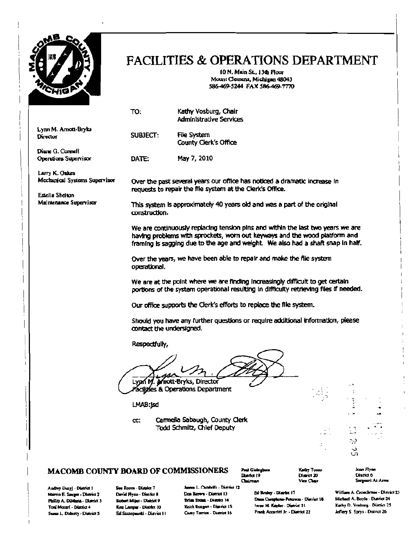

## FACILITIES & OPERATIONS DEPARTMENT

10 N. Main SL, 13d1 Roar Mount Clemens, Michigan 48043 586-469-5244 FAX 586-469-7770

|                                                 | TO:                                                                                                                                                                      | Kathy Vosburg, Chair<br>Administrative Services                                                                                                                                                                                                  |                           |                                    |  |  |  |  |  |
|-------------------------------------------------|--------------------------------------------------------------------------------------------------------------------------------------------------------------------------|--------------------------------------------------------------------------------------------------------------------------------------------------------------------------------------------------------------------------------------------------|---------------------------|------------------------------------|--|--|--|--|--|
| Lynn M. Arnott-Bryks<br>Director                | SUBJECT:                                                                                                                                                                 | <b>File System</b><br>County Clerk's Office                                                                                                                                                                                                      |                           |                                    |  |  |  |  |  |
| Diane G. Connell<br>Operations Supervisor       | DATE:                                                                                                                                                                    | May 7, 2010                                                                                                                                                                                                                                      |                           |                                    |  |  |  |  |  |
| Larry K. Oakes<br>Mechanical Systems Supervisor |                                                                                                                                                                          | Over the past several years our office has noticed a dramatic increase in<br>requests to repair the file system at the Clerk's Office.                                                                                                           |                           |                                    |  |  |  |  |  |
| Estella Shelton<br>Maintenance Supervisor       | construction.                                                                                                                                                            | This system is approximately 40 years old and was a part of the original                                                                                                                                                                         |                           |                                    |  |  |  |  |  |
|                                                 |                                                                                                                                                                          | We are continuously replacing tension pins and within the last two years we are<br>having problems with sprockets, worn out keyways and the wood platform and<br>framing is sagging due to the age and weight. We also had a shaft snap in half. |                           |                                    |  |  |  |  |  |
|                                                 | Over the years, we have been able to repair and make the flie system<br>operational.                                                                                     |                                                                                                                                                                                                                                                  |                           |                                    |  |  |  |  |  |
|                                                 | We are at the point where we are finding increasingly difficult to get certain<br>portions of the system operational resulting in difficulty retrieving files if needed. |                                                                                                                                                                                                                                                  |                           |                                    |  |  |  |  |  |
|                                                 |                                                                                                                                                                          | Our office supports the Clerk's efforts to replace the file system.                                                                                                                                                                              |                           |                                    |  |  |  |  |  |
|                                                 | contact the undersigned.                                                                                                                                                 | Should you have any further questions or require additional information, please                                                                                                                                                                  |                           |                                    |  |  |  |  |  |
|                                                 |                                                                                                                                                                          | Respectfully,                                                                                                                                                                                                                                    |                           |                                    |  |  |  |  |  |
|                                                 |                                                                                                                                                                          | fnott-Bryks, Director<br>les & Operations Department                                                                                                                                                                                             |                           |                                    |  |  |  |  |  |
|                                                 | LMAB:jsd                                                                                                                                                                 |                                                                                                                                                                                                                                                  |                           |                                    |  |  |  |  |  |
|                                                 | cc:                                                                                                                                                                      | Carmella Sabaugh, County Clerk<br>Todd Schmitz, Chlef Deputy                                                                                                                                                                                     |                           | ۰.<br>a m<br>11<br>-9<br>د.<br>UЛ. |  |  |  |  |  |
| MACOMB COUNTY BOARD OF COMMISSIONERS            |                                                                                                                                                                          | Poul Gieleghern<br>District 19                                                                                                                                                                                                                   | Kaday Tooso<br>Dissiel 20 | Joan Flynn<br>Diuria 6             |  |  |  |  |  |

Aadrey Duzy) - District 1 Sue Rocca - District 7<br>Marvin E. Seeger - District 2 David Flynn - District 8 Susan L. Doberry - District 5. It's Stepensalti - District II F. Casey Torrice - District 16.

Andrey Duzy] - Dustict 1 - Sue Rocca - District 7 - James L. Cambelli - District 12 - Ed Brakey - Discher 17 - William A. Croachman - District 23<br>Marvin E. Seuger - District 2. Devid Flynn - District 8 - - Don Brown - Dist

District 19 Chairman

 $Di$  point  $20$ Vice Chair

lym. Dismició Sergeant-At-Arms

o..~"--·o.mll MD.::I A. Boyle· lMlrld 24 I'tIIinlfl A. DLM.i&. n.o.ld. J ...,.Wijoo. DlarriCf: 9 10 Kear Leanger - Diazhet | (1) Keith Realgert - Diannicul 15 - 17 - 17 - 17 leanger - Diannicul 20 - 17 - 20<br>Est Szevermanath - Diatrics II - Cavey Tommics - Diamnict 16 - Frank Accarded Jr. - Diannicul 22 - Jedfery S. Sp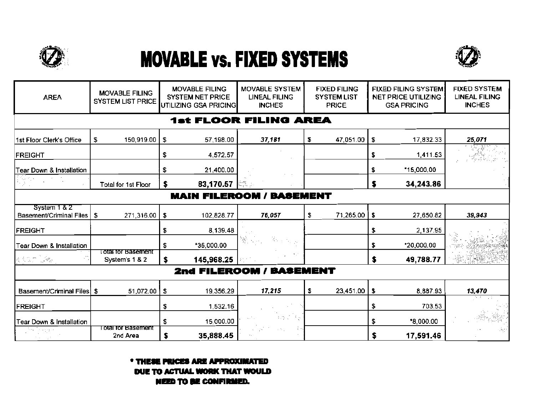

# **MOVABLE vs. FIXED SYSTEMS**



| <b>AREA</b>                             | <b>MOVABLE FILING</b><br><b>SYSTEM LIST PRICE</b> | <b>MOVABLE FILING</b><br><b>SYSTEM NET PRICE</b><br>UTILIZING GSA PRICING | <b>MOVABLE SYSTEM</b><br><b>LINEAL FILING</b><br><b>INCHES</b> | <b>FIXED FILING</b><br><b>SYSTEM LIST</b><br><b>PRICE</b> | <b>FIXED FILING SYSTEM</b><br><b>NET PRICE UTILIZING</b><br><b>GSA PRICING</b> | <b>FIXED SYSTEM</b><br><b>LINEAL FILING</b><br><b>INCHES</b> |
|-----------------------------------------|---------------------------------------------------|---------------------------------------------------------------------------|----------------------------------------------------------------|-----------------------------------------------------------|--------------------------------------------------------------------------------|--------------------------------------------------------------|
|                                         |                                                   |                                                                           | <b>1st FLOOR FILING AREA</b>                                   |                                                           |                                                                                |                                                              |
| 1st Floor Clerk's Office                | \$<br>150,919.00 \$                               | 57,198.00                                                                 | 37,181                                                         | Ż.<br>47,051.00                                           | \$<br>17,832.33                                                                | 25,071                                                       |
| FREIGHT                                 |                                                   | \$<br>4,572.57                                                            |                                                                |                                                           | \$<br>1,411.53                                                                 |                                                              |
| <b>Fear Down &amp; Installation</b>     |                                                   | 21,400.00<br>s.                                                           |                                                                |                                                           | *15,000.00<br>\$.                                                              |                                                              |
|                                         | Total for 1st Floor                               | 83,170.57<br>s                                                            |                                                                |                                                           | 34,243.86<br>\$                                                                |                                                              |
|                                         |                                                   | <b>MAIN FILEROOM/</b>                                                     | <b>BASEMENT</b>                                                |                                                           |                                                                                |                                                              |
| System 1 & 2<br>Basement/Criminal Files | \$<br>271,316.00                                  | $\sqrt{2}$<br>102,828.77                                                  | 76,057                                                         | \$<br>71,265.00                                           | $\bullet$<br>27,650.82                                                         | 39,943                                                       |
| <b>FREIGHT</b>                          |                                                   | \$<br>8,139.48                                                            |                                                                |                                                           | \$<br>2,137.95                                                                 |                                                              |
| <b>Tear Down &amp; Installation</b>     |                                                   | *35,000.00<br>S.                                                          | 多小型                                                            |                                                           | \$<br>*20,000.00                                                               |                                                              |
| <b>RADIO ARE</b>                        | total for Basement.<br>System's 1 & 2             | 145,968.25                                                                |                                                                |                                                           | \$<br>49,788.77                                                                |                                                              |
|                                         |                                                   |                                                                           | 2nd FILEROOM / BASEMENT                                        |                                                           |                                                                                |                                                              |
| Basement/Criminal Files \$              | 51,072.00                                         | \$<br>19,356.29                                                           | 17,215                                                         | \$<br>23,451.00                                           | -\$<br>8,887.93                                                                | 13,470                                                       |
| <b> FREIGHT</b>                         |                                                   | \$<br>1,532.16                                                            |                                                                |                                                           | \$<br>703.53                                                                   | 53.<br>- 1                                                   |
| <b>Tear Down &amp; Installation</b>     |                                                   | \$<br>15,000.00                                                           | 30 J 36                                                        |                                                           | \$<br>*8,000.00                                                                |                                                              |
|                                         | <u>i otal for Basement</u><br>2nd Area            | \$<br>35,888.45                                                           | a An                                                           |                                                           | \$<br>17,591.46                                                                |                                                              |

\* THESE PRICES ARE APPROXIMATED DUE TO ACTUAL WORK THAT WOULD **NEED TO BE CONFIRMED.**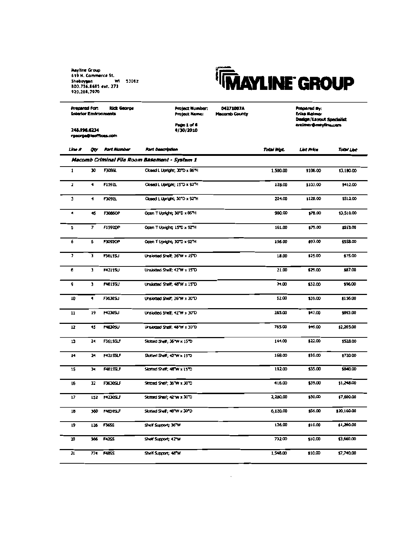

| <b>Rick George</b><br>Prepared For:<br><b>Interior Environments</b><br>248.996.6234 |                      |                       | Project Number:<br><b>Project Name:</b><br>Page 1 of 6<br>4/30/2010 | 04271007A<br><b>Macomb County</b> |                  | Prepared By:<br>Erica Reimer<br>Design/Layout Specialist<br>ereinver@minyline.com |             |  |
|-------------------------------------------------------------------------------------|----------------------|-----------------------|---------------------------------------------------------------------|-----------------------------------|------------------|-----------------------------------------------------------------------------------|-------------|--|
|                                                                                     |                      | rgeorge@leaffices.com |                                                                     |                                   |                  |                                                                                   |             |  |
| Une #                                                                               | oo.                  | <b>Part Number</b>    | <b>Part Description</b>                                             |                                   | <b>Total Wat</b> | <b>List Price</b>                                                                 | Tatal List  |  |
|                                                                                     |                      |                       | Macomb Criminal File Room Basement - System 1                       |                                   |                  |                                                                                   |             |  |
| $\mathbf{1}$                                                                        | 30                   | <b>F3086L</b>         | Closed L Doright; 30°D x 86°H                                       |                                   | 1,500.00         | \$106.00                                                                          | \$3,180.00  |  |
| z                                                                                   | $\blacktriangleleft$ | F1592L                | Closed L Upright; 15TO x 92TH                                       |                                   | 128.00           | \$103.00                                                                          | \$412.00    |  |
| J.                                                                                  | 4                    | F3092L                | Closed L Upright; 30°D x 92°H                                       |                                   | 224.00           | \$128.00                                                                          | 1512.00     |  |
| ٠                                                                                   | 45                   | <b>F3086OP</b>        | Open T Upright; 30"D x 86"H                                         |                                   | 900.00           | \$78.00                                                                           | 13,510.00   |  |
| 5                                                                                   | 7                    | F1592DP               | Open T Upright; 15TD x 9ZTH                                         |                                   | 161.00           | \$79.00                                                                           | \$55.00     |  |
| 6                                                                                   | Б                    | <b>F30920P</b>        | Open T Upright; 30TO x 92"H                                         |                                   | 156.00           | \$93.00                                                                           | \$558.00    |  |
| $\overline{ }$                                                                      | $\mathbf{I}$         | <b>F3615SJ</b>        | Unslotted Shelf: 36 W x 15 D                                        |                                   | 18.00            | \$25.00                                                                           | \$75.00     |  |
| 6                                                                                   | $\mathbf{I}$         | <b>F4215SU</b>        | Unslotted Shelf; 42"W x 15"D                                        |                                   | 21.00            | \$29.00                                                                           | \$97.00     |  |
| 9                                                                                   | э.                   | F48155U               | Unslotted Shelf; 48 W x 15 D                                        |                                   | 24.00            | \$32.00                                                                           | \$96.00     |  |
| 10                                                                                  | 4.                   | <b>F3630SJ</b>        | Unslotted Shelf; 36"W x 30"D                                        |                                   | 52.00            | 139.00                                                                            | \$156.00    |  |
| 11                                                                                  | 19                   | <b>F4230SU</b>        | Unslotted Shelf; 42"W x 30"D                                        |                                   | 285.00           | \$47.00                                                                           | \$993.00    |  |
| 12                                                                                  | 45                   | F4830SU               | Unsiotted Shelf; 48 W x 30 D                                        |                                   | 765.00           | \$49.00                                                                           | \$2,205.00  |  |
| 13                                                                                  | 24                   | F3615SLF              | Slotted Shell; 36"W x 15"D                                          |                                   | 144.00           | \$22.00                                                                           | \$528.00    |  |
| 14                                                                                  | 24                   | <b>F421 SSUF</b>      | Slotted Shell; 42"W x 15"D                                          |                                   | 168.00           | \$30.00                                                                           | \$720.00    |  |
| 15                                                                                  | 24.                  | <b>F481SSLF</b>       | Slatted Shelf; 46"W x 15"D                                          |                                   | 192.00           | \$35.00                                                                           | \$840.00    |  |
| 16                                                                                  | 32                   | <b>F3630SLF</b>       | Skoped Shelf; 36"W x 30"D                                           |                                   | 416.00           | \$39.00                                                                           | \$1,248.00  |  |
| 17                                                                                  | 152                  | <b>F4230SLF</b>       | Slotted Shelf; 42"W x 30"D                                          |                                   | 2,280,00         | \$50.00                                                                           | \$7,600.00  |  |
| 18                                                                                  | 360                  | <b>HADOSLF</b>        | Slotted Shell; 48"W x 30"D                                          |                                   | 6,120.00         | \$56.00                                                                           | \$20,160.00 |  |
| 19                                                                                  | 126                  | <b>F3655</b>          | Shelf Support; 36"W                                                 |                                   | 126.00           | \$10.00                                                                           | \$1,260.00  |  |
| 20                                                                                  | 366                  | <b>H2S</b>            | Shelf Support: 42"W                                                 |                                   | 732.00           | \$10.00                                                                           | \$3,660.00  |  |
| 21                                                                                  | 774.                 | <b>F4855</b>          | Shelf Support; 48"W.                                                |                                   | 1,548.00         | \$10.00                                                                           | \$7,740.00  |  |

 $\sim$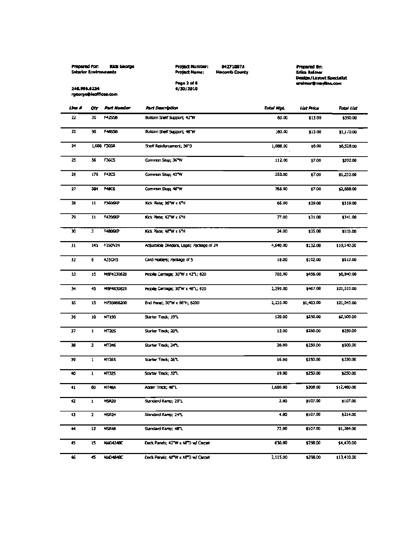|        | Prepared For:<br><b>Rick George</b><br><b>Interior Environments</b> |                       | Project Number:<br>04271007A<br>Project Name:<br><b>Hacomb County</b><br>Page 2 of 6<br>248.996.6234<br>4/30/2010 |            |            | Prepared By:<br>Erika Reimer<br>Dealgn/Layout Specialist<br>eralmer@mayline.com |  |  |
|--------|---------------------------------------------------------------------|-----------------------|-------------------------------------------------------------------------------------------------------------------|------------|------------|---------------------------------------------------------------------------------|--|--|
|        |                                                                     | rgeorge@ieoffices.com |                                                                                                                   |            |            |                                                                                 |  |  |
| Line A | Qtr                                                                 | Part Number           | Part Description                                                                                                  | Total Wot. | List Price | Tatal List                                                                      |  |  |
| 22     | 30                                                                  | <b>M2538</b>          | Bottom Shelf Support; 42°W                                                                                        | 60.00      | \$13.00    | \$390.00                                                                        |  |  |
| 21     | 90                                                                  | <b>HECK</b>           | Bottom Shelf Support; 46"W                                                                                        | 180.00     | \$13.00    | \$1,170.00                                                                      |  |  |
| 24     |                                                                     | 1,086 F30SR           | Shelf Reinforcement; 30°D                                                                                         | 1,088.00   | 16.00      | \$6,528.00                                                                      |  |  |
| 25     | 56                                                                  | <b>F36CS</b>          | Common Stop: 367W                                                                                                 | 112.00     | \$7.00     | \$392.00                                                                        |  |  |
| 26     | 176                                                                 | F42C5                 | Comman Stop; 42 W                                                                                                 | 352.00     | \$7.00     | \$1,232.00                                                                      |  |  |
| 27     | 384                                                                 | <b>HOCS</b>           | Common Stop: 46"W                                                                                                 | 768.00     | \$7.00     | \$2,688.00                                                                      |  |  |
| 28     | 11                                                                  | F3606KP               | Kick Plate: 36 W x 6 H                                                                                            | 66.00      | \$29.00    | \$319.00                                                                        |  |  |
| 29     | $\mathbf{1}$                                                        | F4206KP               | Kick Plate: 42 W x 6 H                                                                                            | 77.00      | \$31.00    | \$341.00                                                                        |  |  |
| 30     | э                                                                   | F4806KP               | Kick Plate; 48 W x 6 H                                                                                            | 24.00      | \$35.00    | \$105.00                                                                        |  |  |
| 31     | 145                                                                 | F15DV24               | Adjustable Dividers, Legal; Package of 24                                                                         | 4,640.00   | \$132.00   | \$19,140.00                                                                     |  |  |
| 32     | 6                                                                   | A35CH5                | Card Holders; Package of 5                                                                                        | 18.00      | \$102.00   | \$612.00                                                                        |  |  |
| 33     | 15                                                                  | MBF1230820            | Hobile Carriage; 30 W x 42 1; 820                                                                                 | 705.00     | \$456.00   | \$6,840.00                                                                      |  |  |
| м      | 45                                                                  | MBF4830820            | Mobile Carriage; 30"W x 46"L; 620                                                                                 | 2,295.00   | 1467.00    | \$21,015.00                                                                     |  |  |
| 35     | 15                                                                  | HP30868200            | End Panel; 30°W x 86°H; 8200                                                                                      | 2,235.00   | \$1,403.00 | \$21,045.00                                                                     |  |  |
| 36     | 10                                                                  | MT195                 | Starter Track; 19°L                                                                                               | 120.00     | \$250.00   | \$2,500.00                                                                      |  |  |
| 37     | $\mathbf{1}$                                                        | <b>MT20S</b>          | Starter Track: 201L                                                                                               | 12.00      | \$250.00   | \$250.00                                                                        |  |  |
| 38     | 2                                                                   | <b>KTMS</b>           | Starter Track, 24°L                                                                                               | 30.00      | \$250.00   | \$500.00                                                                        |  |  |
| 39     | 1                                                                   | <b>MT26S</b>          | Starter Track; 26 L                                                                                               | 16.00      | \$250.00   | \$250.00                                                                        |  |  |
| 40     | T.                                                                  | МTJ25                 | Starter Track; 32°L                                                                                               | 19.00      | \$250.00   | \$250.00                                                                        |  |  |
| 41     | 60                                                                  | MT48A                 | Adder Track; 46°L                                                                                                 | 1,680.00   | \$208.00   | \$12,480.00                                                                     |  |  |
| 42     | 1                                                                   | MSR20                 | Standard Ramp; 20"L                                                                                               | 2.00       | \$107.00   | \$107.00                                                                        |  |  |
| 43     | 2                                                                   | MSRZM                 | Standard Ramp: 24"L                                                                                               | 4.00       | \$107.00   | \$214.00                                                                        |  |  |
| 44     | 12                                                                  | MSR48                 | Standard Ramp; 48"L                                                                                               | 72.00      | \$107.00   | \$1,284.00                                                                      |  |  |
| 45     | 15                                                                  | <b>MAD4248C</b>       | Deck Panels; 42"W x 48"D w/ Corpet                                                                                | 630.00     | \$298.00   | \$4,470.00                                                                      |  |  |
| 46     | 45                                                                  | NAD4848C              | Deck Panels; 48"W x 48"D w/ Carpet                                                                                | 2,115.00   | \$298.00   | \$13,410.00                                                                     |  |  |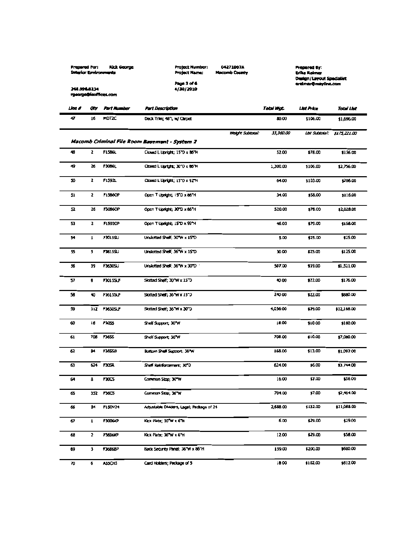| <b>Fuck George</b><br>Prepared For:<br><b>Interior Environments</b> | <b>Project Number:</b><br>Project Name: | 04271007A<br><b>Macomb County</b> | Prepared Er:<br>Erika Kaimar | Design/Layout Specialist |
|---------------------------------------------------------------------|-----------------------------------------|-----------------------------------|------------------------------|--------------------------|
| 248.994.6234<br>rgeorge@icoffices.com                               | Page 3 of 6<br>4/30/2010                |                                   | ereiner Omayline.com         |                          |
| Um d<br>Part Kumber                                                 | Part Description                        |                                   | Total Wat.<br>地方标            | <b>Total List</b>        |

| una e | ΨY           | <b>Fart August</b> | Part Description                              |                         | Total Myt. | 山武 丹北市         | Total List   |
|-------|--------------|--------------------|-----------------------------------------------|-------------------------|------------|----------------|--------------|
| 47    | 16           | MDT2C              | Deck Trim; 46"L w/ Carpet                     |                         | 80.00      | \$106.00       | \$1,696.00   |
|       |              |                    |                                               | <b>Weight Subincal:</b> | 33,360.00  | List Subintal: | \$175,221.00 |
|       |              |                    | Macomb Criminal File Room Basement - System 2 |                         |            |                |              |
| 48    | 2            | <b>F1586L</b>      | Closed L Upright; 15"D x 86"H                 |                         | 52.00      | \$78.00        | \$156.00     |
| 49    | 26           | F3086L             | Closed L Lipriphic; 30°O x 86°N               |                         | 1,300.00   | \$106.00       | \$2,756.00   |
| 50    | 2            | F1592L             | Closed L Upright; 15"O x 92"H                 |                         | 64.00      | \$103.00       | \$206.00     |
| 51    | 2            | F1586OP            | Open T Upright; 15"D x 86"H                   |                         | 34.00      | \$58.00        | \$116.00     |
| 52    | 26           | F3086OP            | Open T Upright; 30TD x 86°H                   |                         | 520.00     | \$78.00        | \$2,028.00   |
| 53    | 2            | F1592OP            | Open T Upright; IS D x 92 H                   |                         | 46.00      | \$79.00        | \$158.00     |
| я     | 1            | F3015SU            | Unslotted Shelf; 30 W x 15 D                  |                         | 5.00       | \$25.00        | \$25.00      |
| 55    | 5            | <b>F3615SU</b>     | Unslotted Shell; 36 W x 15 D                  |                         | 30.00      | \$25.00        | \$125.00     |
| 56    | 39           | F3630SU            | Unslotted Shell; 36 W x 30 D                  |                         | 507.00     | \$39.00        | \$1,521.00   |
| 57    | 8            | <b>F3015SLF</b>    | Skotted Shelf; 30°W x 15°D                    |                         | 40.00      | \$22.00        | \$176.00     |
| 58    | 40           | <b>F1615SLF</b>    | Slotted Shelf; 36°W x 15°D                    |                         | 240.00     | \$22.00        | 1880.00      |
| 59    | 312          | <b>F3630SLF</b>    | Sotted Shelf; 36 W x 30 D                     |                         | 4,056.00   | \$39.00        | \$12,168.00  |
| 60    | 18           | 7335               | Shelf Support; 30°W                           |                         | 18.00      | \$10.00        | \$180.00     |
| 61    | 706          | <b>F3655</b>       | Shelf Support; 36 W                           |                         | 708.00     | \$10.00        | \$7,080.00   |
| 62    | 84           | F36558             | Bottom Shell Support; 36°W                    |                         | 168.00     | \$13.00        | \$1,092.00   |
| 63    | 624          | <b>F3054</b>       | Sheff Relationcement; 30°D                    |                         | 624.00     | \$6.00         | \$3,744.00   |
| 64    | 8            | FJ0CS              | Common Stop; 30"W                             |                         | 16.00      | 17.00          | \$56.00      |
| 65    | 352          | <b>F36CS</b>       | Comman Stop; 36°W                             |                         | 704.00     | \$7.00         | \$2,464.00   |
| 66    | 84           | F15DV24            | Adjustable Dividers, Lagal; Package of 24     |                         | 2,688.00   | \$132.00       | \$11,088.00  |
| 67    | $\mathbf{I}$ | F3006KP            | Kick Plate; 30°W x 6°H                        |                         | 6.00       | \$29.00        | \$29.00      |
| 68    | 2            | FJ606KP            | Kick Plate; 36"W x 6"H                        |                         | 12.00      | \$29.00        | \$58.00      |
| 69    | 3            | <b>13686BP</b>     | Back Security Panel; 36"W x 86"H              |                         | 159.00     | \$200.00       | \$600.00     |
| 70    | 6            | <b>A35CH5</b>      | Card Holders; Package of 5                    |                         | 18.00      | \$102.00       | \$612.00     |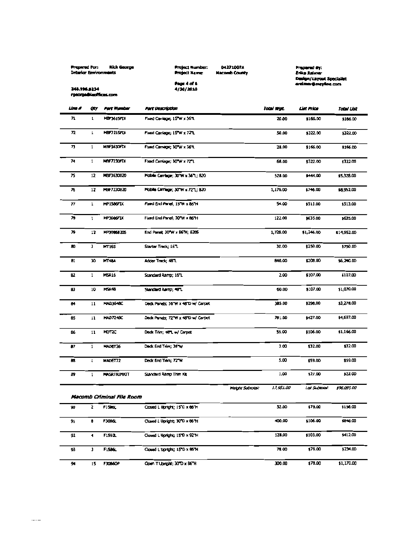| Prepared For: Rick George |  |  |
|---------------------------|--|--|
| Interior Environments     |  |  |
|                           |  |  |

Page 4 of 6<br>4/30/2010

Project Number.<br>Project Name:

04271007A<br>Macomb County

Propiend By:<br>Erika Reinter<br>Design/Layout Specialist<br>ereinter@maytine.com

248.996.8234 rgeorga@lacfficas.com

| um r | ay             | Part Mumber                         | Fart Description                   |                  | Total Wgt. | List Price     | Total List  |
|------|----------------|-------------------------------------|------------------------------------|------------------|------------|----------------|-------------|
| 71   | 1              | MBF361SFIX                          | Fixed Carriage; 15"W x 36"L        |                  | 20.00      | \$166.00       | \$166.00    |
| 72   | $\mathbf{L}$   | MBF721SFIX                          | Fixed Carriage; 15"W x 72"L        |                  | 50.00      | \$322.00       | \$322.00    |
| 73   | $\mathbf{1}$   | MBF3630FDX                          | Fixed Camage; 30"W x 36"L          |                  | 28.00      | \$166.00       | \$166.00    |
| 74   | $\mathbf{1}$   | NBF7230FD                           | Fbord Camlage; 30°W x 77°L         |                  | 68.00      | \$322.00       | 1322.00     |
| 75   | 12             | MBF3630820                          | Mobile Carriage; 30 W x 36 L; 820  |                  | 528.00     | \$444.00       | \$5,328.00  |
| 76   | 12             | MBF7230820                          | Hobile Carriage; 30"W x 72"L; 820  |                  | 1,176.00   | \$746.00       | \$8,952.00  |
| 77   | ı              | MP1586FIX                           | Fixed End Panel; 15"W x 86"H       |                  | 54.00      | \$513.00       | \$513.00    |
| л    | ı              | MP3086FIX                           | Fixed End Panel; 30°W x 86°H       |                  | 122.00     | \$635.00       | \$635.00    |
| 79   | 17             | MP30868205                          | End Panet, 30"W x 86"H; 8205       |                  | 1,728.00   | \$1,246.00     | \$14,952.00 |
| 80   | э              | MT165                               | Starter Treck; 167.                |                  | 30.00      | \$250.00       | \$750.00    |
| BI   | 30             | <b>HT4M</b>                         | Adder Track; 487.                  |                  | 640.00     | \$208.00       | \$6,240.00  |
| 62   | $\mathbf{1}$   | MSR16                               | Standard Ramp; 16"L                |                  | 2.00       | \$107.00       | \$107,00    |
| Œ.   | 10             | <b>HSR48</b>                        | Standard Ramp; 48TL                |                  | 60.00      | \$107.00       | \$1,070.00  |
| 84   | 11             | <b>MAD3648C</b>                     | Deck Panels; 36"W x 48"D w/ Carpet |                  | 385.00     | \$298.00       | \$3,278.00  |
| 85   | 11             | <b>MAD7248C</b>                     | Dedk Panels; 72"W x 48"D w/ Carpet |                  | 781.00     | \$427.00       | \$4,697.00  |
| 86   | 11             | MDT2C                               | Deck Trim; 48TL w/ Carpet          |                  | 55.00      | \$106.00       | \$1,166.00  |
| 87   | 1              | MADET36                             | Deck End Trim; 36 W                |                  | 3.00       | \$32.00        | \$32.00     |
| 68   | t              | MADET72                             | Deck End Trim; 72°W                |                  | 5.00       | \$59.00        | \$59.00     |
| 89   | 1              | <b>MASRTRIMICIT</b>                 | Standard Ramp Trim Kit             |                  | 1.00       | 127.00         | 522.00      |
|      |                |                                     |                                    | Weight Subtotal: | 17,951.00  | List Subtatan: | \$96,095.00 |
| 90   | 2              | Macomb Criminal File Room<br>F1506C | Closed L Upright; 15°D x 86°H      |                  | 52.00      | \$78.00        | \$156.00    |
|      |                |                                     |                                    |                  |            |                |             |
| 91   | 8              | F3086L                              | Closed L Upright, 30 D x 86 H      |                  | 400.00     | 1106.00        | 1049.00     |
| 92   | $\blacksquare$ | <b>F1592L</b>                       | Closed L Upright; 15TD x 92TH      |                  | 128.00     | \$103.00       | \$412.00    |
| 93   | J.             | <b>FISBOL</b>                       | Closed L'Uoright: 15"D x 86"H      |                  | 78.00      | \$78.00        | \$234.00    |
| 94.  | 15.            | <b>F3086OP</b>                      | Open T Upright: 30°D x 86°H        |                  | 300.00     | \$78.00        | \$1,170.00  |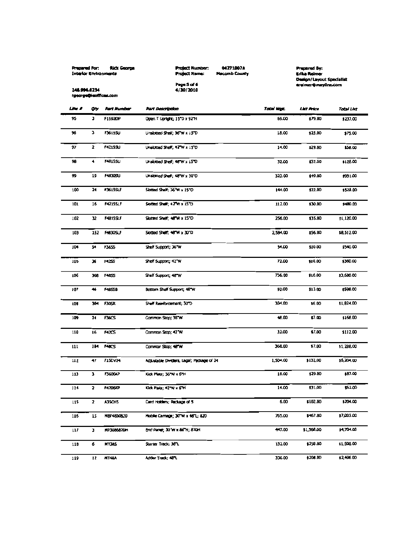| Propered For:         | <b>Rick George</b> |
|-----------------------|--------------------|
| Interior Environments |                    |

Page 5 of 6<br>4/30/2010

Project Number:<br>Project Name: 04271007A **Hacomb County**  Prepired By:<br>Erika Reimer<br>Oesign/Layout Specialist<br>ereimerQmayline.com

**148.996.6234**<br>rgeorge@ieoffices.com

| <b>Line A</b> | Q٧            | <b>Part Munder</b> | Part Description                          | Tatal Wgc | <b>List Price</b> | Total List |
|---------------|---------------|--------------------|-------------------------------------------|-----------|-------------------|------------|
| 95            | C.            | F15920P            | Open T Upright; 15°D x 92°H               | 69.00     | \$79.00           | \$237.00   |
| 96            | э             | <b>F3615SU</b>     | Unslotted Shelf; 36"W x 15"D              | 18.00     | \$25.00           | \$75.00    |
| 97            | 2             | <b>F4215SU</b>     | Unslotted Shelf; 42"W x 15"D              | 14.00     | \$29.00           | \$38.00    |
| 98            | 4.            | <b>F4815SU</b>     | Unsiotted Sheff; 46TW x 15TO              | 32.00     | \$32.00           | \$128.00   |
| 99            | 19            | <b>F4830SU</b>     | Unsidited Shell; 48 W x 30°D              | 323.00    | \$49.00           | \$931.00   |
| 100           | 24            | <b>F3615SLF</b>    | Slotted Shelf; 36"W x 15"D                | 144.00    | \$22.00           | \$528.00   |
| 101           | 16            | <b>F4215SLF</b>    | Slotted Shaff; 42"W x LS"D                | 112.00    | \$30.00           | \$480.00   |
| 102           | 12            | F4815SLF           | Slotted Shelf; 48"W x 15"D                | 256.00    | \$35.00           | \$1,120.00 |
| 103           | 152           | <b>F4830SLF</b>    | Slotted Shelf; 46"W x 30"D                | 2,584.00  | \$56.00           | \$8,512.00 |
| 104           | 54            | F36S5              | Shelf Support; J6 W                       | 54.00     | \$10.00           | \$540.00   |
| 105           | $\mathbf{36}$ | <b>F4255</b>       | Shelf Support; 42 W                       | 72.00     | \$10.00           | \$360.00   |
| 106           | 366           | <b>F4855</b>       | Shelf Support: 48"W                       | 736.00    | \$10.00           | \$3,680.00 |
| 107           | $\clubsuit$   | F4855B             | Bottom Shelf Support; 48"W                | 92.00     | \$13.00           | \$598.00   |
| 108           | 304           | <b>F30SR</b>       | Shelf Reinforcement; 30TD                 | 304.00    | 16.00             | \$1,824.00 |
| 109           | 14            | <b>F36CS</b>       | Common Stop; 36"W                         | 48.00     | \$7.00            | \$168.00   |
| 110           | 16            | <b>F4ZCS</b>       | Common Stop; 42TW                         | 32.00     | \$7.00            | \$112.00   |
| 111           | 184           | <b>FARCS</b>       | Common Stop; 46°W                         | 368.00    | 17.00             | 11,288.00  |
| 112           | 47            | <b>F150V24</b>     | Adjustable Dividers, Lagal; Package of 24 | 1,504.00  | \$132.00          | \$5,204.00 |
| 113           | J.            | F3606KP            | Kick Plate; 36"W x 6"H                    | 18.00     | \$29.00           | \$87.00    |
| 114           | 2             | F4206KP            | IOck Platz; 42"W x 6"H                    | 14.00     | \$31.00           | \$62.00    |
| 115           | $\mathbf{z}$  | A3SCHS             | Card Holdens; Reckage of 5                | 6.00      | \$102.00          | \$204.00   |
| 116           | 15            | MBF4800820         | Hoble Carriage; 30"W x 46"L; 820          | 765.00    | \$467.00          | \$7,005.00 |
| 117           | Т.            | MP3086820H         | End Panet; 30°W x 86°H; 870H              | 447.00    | \$1,568.00        | \$4,704.00 |
| 118           | 6.            | MT38S              | Starter Track; 38°L                       | 132.00    | \$250.00          | 11,500.00  |
| 119           | ţZ.           | MT48A              | Adder Track, 48°L                         | 336.00    | \$208.00          | \$2,496.00 |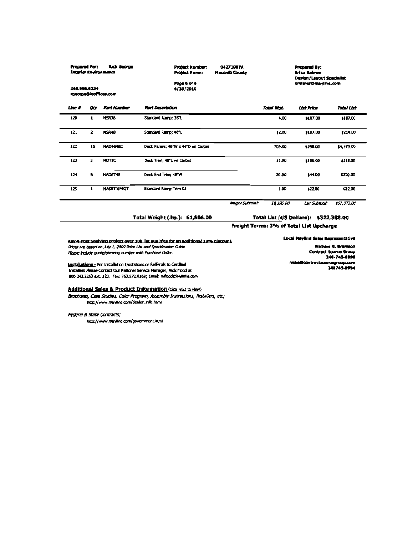|        | Pressred For:<br>füdz George<br>Interior Environments<br>248.996.6234<br>rgeorge@icaffices.com |                      |                                    |  | <b>Project Number:</b><br>Project Name:<br>Page 6 of 6<br>4/30/2010 | 04271007A<br><b>Hacomb County</b> |                   | <b>Prepared By:</b><br>Erika Reimer<br>Design/Layout Specialist<br>erd mer@mayline.com |  |
|--------|------------------------------------------------------------------------------------------------|----------------------|------------------------------------|--|---------------------------------------------------------------------|-----------------------------------|-------------------|----------------------------------------------------------------------------------------|--|
| Line # | Qty                                                                                            | <b>Part Number</b>   | <b>Part Description</b>            |  | Total Wat                                                           | List Price                        | <b>Total List</b> |                                                                                        |  |
| 120    | ı                                                                                              | <b>MSR38</b>         | Standard Ramp: 38"L.               |  | 4.00                                                                | \$107.00                          | \$107.00          |                                                                                        |  |
| 121    | 2                                                                                              | <b>MSR48</b>         | Standard Ramp: 48°L                |  | 12.00                                                               | \$107.00                          | \$214.00          |                                                                                        |  |
| 122    | 15                                                                                             | <b>HAD4B48C</b>      | Deck Parels; 48"W x 48"D w/ Carpet |  | 705.00                                                              | \$290.00                          | \$4,470.00        |                                                                                        |  |
| 123    | э                                                                                              | MDTZC                | Deck Trim; 46°L w/ Carpet          |  | 15.00                                                               | \$106.00                          | \$315.00          |                                                                                        |  |
| 124    | 5.                                                                                             | MADET48              | Deck End Trim; 48"W                |  | 20.00                                                               | \$44.00                           | 1220.00           |                                                                                        |  |
| 125    |                                                                                                | <b>MASK TRIMICIT</b> | Standard Ramp Trim Kit             |  | 1.00                                                                | \$22.00                           | \$22.00           |                                                                                        |  |

Weight Subtintal:

Total Weight (Jbs.): 61, \$06.00

Total List (US Dollars): \$322,368.00

Freight Terms: 396 of Total List Upcharge

10,195.00

Any 4-Post Shelving project over 30k list qualifies for an additional 10% discount. Prices are based on July 1, 2009 Price List and Specification Guide. Please include quote/drawing number with Purchase Order.

Installations - For Installation Quotations or Reflerals to Certified Installers Please Contact Our National Service Manager, Mick Flood at 800.243.2263 ext. 123. Fax: 763.572.0168; Email: mflood@kwikifle.com

#### Additional Sales & Product Information (dict links to view)

Brochures, Case Studies, Color Program, Assembly Instructions, Installers, etc. http://www.mayline.com/dealer\_info.html

#### Federal & State Contracts;

http://www.mayline.com/government.html

Nichael G. Gramson Contract Source Group 246-745-9990 mike@contrecteourcegroup.com 148745-0004

**Local Mayline Seles Representative** 

List Submat: \$51,072.00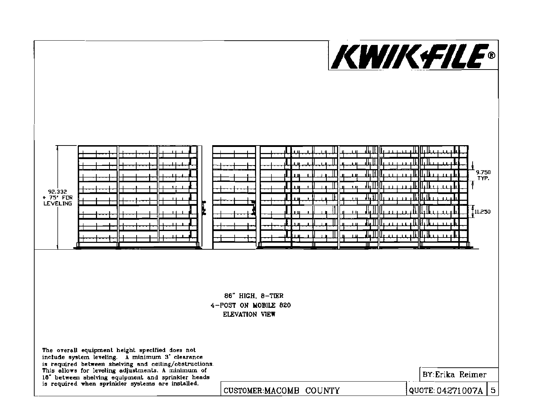

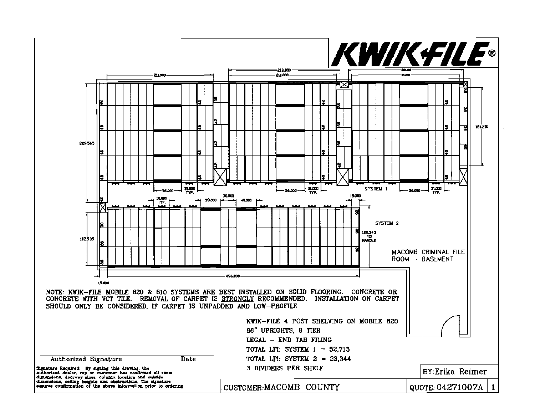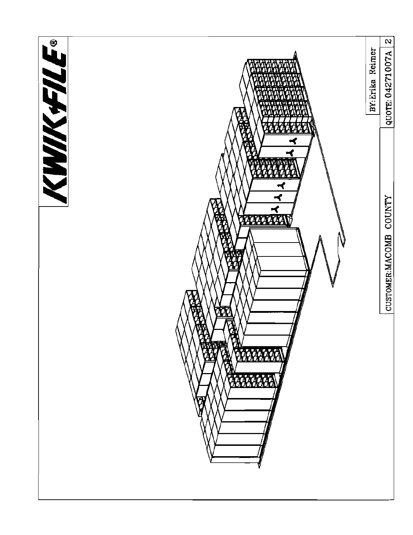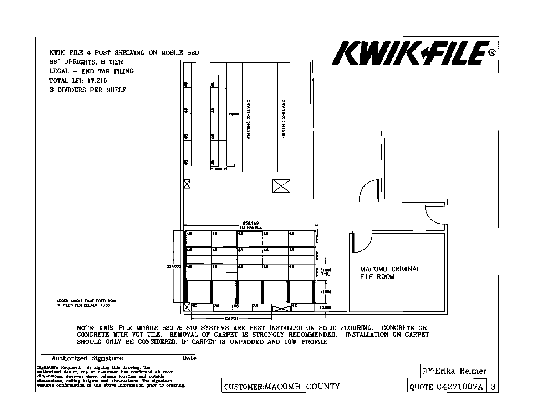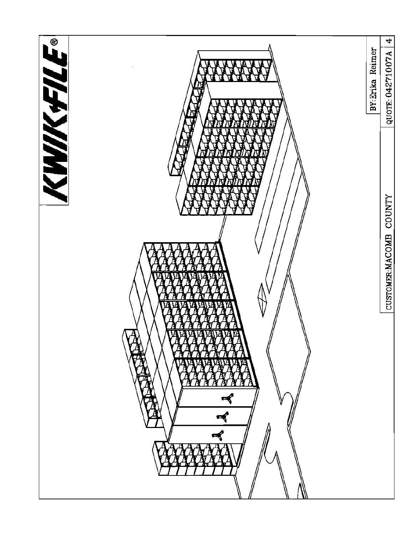